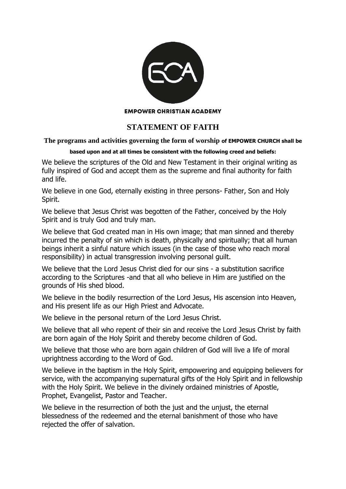

## **EMPOWER CHRISTIAN ACADEMY**

## **STATEMENT OF FAITH**

## **The programs and activities governing the form of worship of EMPOWER CHURCH shall be**

## **based upon and at all times be consistent with the following creed and beliefs:**

We believe the scriptures of the Old and New Testament in their original writing as fully inspired of God and accept them as the supreme and final authority for faith and life.

We believe in one God, eternally existing in three persons- Father, Son and Holy Spirit.

We believe that Jesus Christ was begotten of the Father, conceived by the Holy Spirit and is truly God and truly man.

We believe that God created man in His own image; that man sinned and thereby incurred the penalty of sin which is death, physically and spiritually; that all human beings inherit a sinful nature which issues (in the case of those who reach moral responsibility) in actual transgression involving personal guilt.

We believe that the Lord Jesus Christ died for our sins - a substitution sacrifice according to the Scriptures -and that all who believe in Him are justified on the grounds of His shed blood.

We believe in the bodily resurrection of the Lord Jesus, His ascension into Heaven, and His present life as our High Priest and Advocate.

We believe in the personal return of the Lord Jesus Christ.

We believe that all who repent of their sin and receive the Lord Jesus Christ by faith are born again of the Holy Spirit and thereby become children of God.

We believe that those who are born again children of God will live a life of moral uprightness according to the Word of God.

We believe in the baptism in the Holy Spirit, empowering and equipping believers for service, with the accompanying supernatural gifts of the Holy Spirit and in fellowship with the Holy Spirit. We believe in the divinely ordained ministries of Apostle, Prophet, Evangelist, Pastor and Teacher.

We believe in the resurrection of both the just and the unjust, the eternal blessedness of the redeemed and the eternal banishment of those who have rejected the offer of salvation.